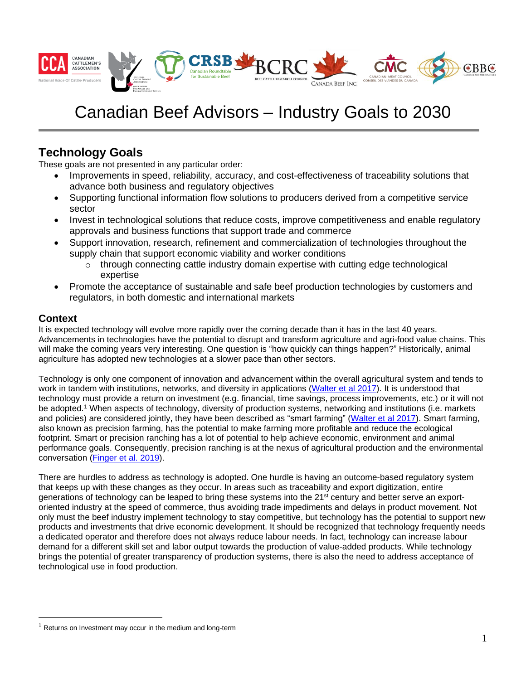

# Canadian Beef Advisors – Industry Goals to 2030

# **Technology Goals**

These goals are not presented in any particular order:

- Improvements in speed, reliability, accuracy, and cost-effectiveness of traceability solutions that advance both business and regulatory objectives
- Supporting functional information flow solutions to producers derived from a competitive service sector
- Invest in technological solutions that reduce costs, improve competitiveness and enable regulatory approvals and business functions that support trade and commerce
- Support innovation, research, refinement and commercialization of technologies throughout the supply chain that support economic viability and worker conditions
	- $\circ$  through connecting cattle industry domain expertise with cutting edge technological expertise
- Promote the acceptance of sustainable and safe beef production technologies by customers and regulators, in both domestic and international markets

## **Context**

It is expected technology will evolve more rapidly over the coming decade than it has in the last 40 years. Advancements in technologies have the potential to disrupt and transform agriculture and agri-food value chains. This will make the coming years very interesting. One question is "how quickly can things happen?" Historically, animal agriculture has adopted new technologies at a slower pace than other sectors.

Technology is only one component of innovation and advancement within the overall agricultural system and tends to work in tandem with institutions, networks, and diversity in applications [\(Walter et al](https://www.pnas.org/content/pnas/114/24/6148.full.pdf) 2017). It is understood that technology must provide a return on investment (e.g. financial, time savings, process improvements, etc.) or it will not be adopted.<sup>1</sup> When aspects of technology, diversity of production systems, networking and institutions (i.e. markets and policies) are considered jointly, they have been described as "smart farming" [\(Walter et al 2017\)](https://www.pnas.org/content/pnas/114/24/6148.full.pdf). Smart farming, also known as precision farming, has the potential to make farming more profitable and reduce the ecological footprint. Smart or precision ranching has a lot of potential to help achieve economic, environment and animal performance goals. Consequently, precision ranching is at the nexus of agricultural production and the environmental conversation [\(Finger et al. 2019\)](https://www.annualreviews.org/doi/pdf/10.1146/annurev-resource-100518-093929).

There are hurdles to address as technology is adopted. One hurdle is having an outcome-based regulatory system that keeps up with these changes as they occur. In areas such as traceability and export digitization, entire generations of technology can be leaped to bring these systems into the 21<sup>st</sup> century and better serve an exportoriented industry at the speed of commerce, thus avoiding trade impediments and delays in product movement. Not only must the beef industry implement technology to stay competitive, but technology has the potential to support new products and investments that drive economic development. It should be recognized that technology frequently needs a dedicated operator and therefore does not always reduce labour needs. In fact, technology can increase labour demand for a different skill set and labor output towards the production of value-added products. While technology brings the potential of greater transparency of production systems, there is also the need to address acceptance of technological use in food production.

 $1$  Returns on Investment may occur in the medium and long-term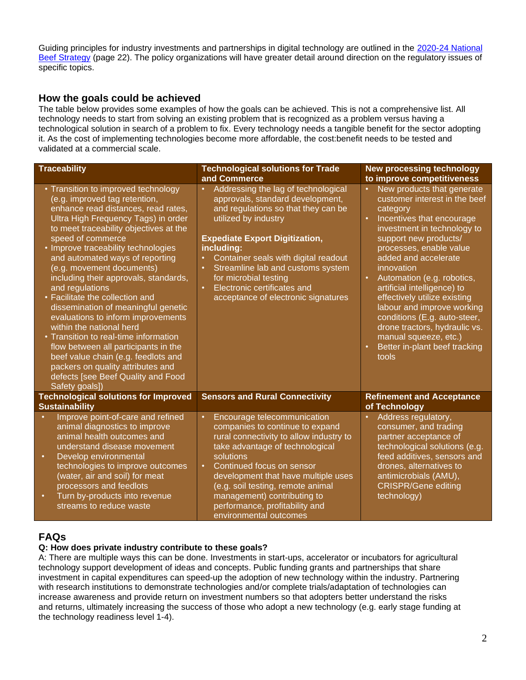Guiding principles for industry investments and partnerships in digital technology are outlined in the [2020-24 National](https://beefstrategy.com/pdf/2019/NBS%202020-24%20Final%20Sept%2030%202019.pdf) [Beef Strategy](https://beefstrategy.com/pdf/2019/NBS%202020-24%20Final%20Sept%2030%202019.pdf) (page 22). The policy organizations will have greater detail around direction on the regulatory issues of specific topics.

### **How the goals could be achieved**

The table below provides some examples of how the goals can be achieved. This is not a comprehensive list. All technology needs to start from solving an existing problem that is recognized as a problem versus having a technological solution in search of a problem to fix. Every technology needs a tangible benefit for the sector adopting it. As the cost of implementing technologies become more affordable, the cost:benefit needs to be tested and validated at a commercial scale.

| <b>Traceability</b>                                                                                                                                                                                                                                                                                                                                                                                                                                                                                                                                                                                                                                                                                                                                   | <b>Technological solutions for Trade</b><br>and Commerce                                                                                                                                                                                                                                                                                                                                                         | <b>New processing technology</b><br>to improve competitiveness                                                                                                                                                                                                                                                                                                                                                                                                                                                                      |
|-------------------------------------------------------------------------------------------------------------------------------------------------------------------------------------------------------------------------------------------------------------------------------------------------------------------------------------------------------------------------------------------------------------------------------------------------------------------------------------------------------------------------------------------------------------------------------------------------------------------------------------------------------------------------------------------------------------------------------------------------------|------------------------------------------------------------------------------------------------------------------------------------------------------------------------------------------------------------------------------------------------------------------------------------------------------------------------------------------------------------------------------------------------------------------|-------------------------------------------------------------------------------------------------------------------------------------------------------------------------------------------------------------------------------------------------------------------------------------------------------------------------------------------------------------------------------------------------------------------------------------------------------------------------------------------------------------------------------------|
| • Transition to improved technology<br>(e.g. improved tag retention,<br>enhance read distances, read rates,<br>Ultra High Frequency Tags) in order<br>to meet traceability objectives at the<br>speed of commerce<br>• Improve traceability technologies<br>and automated ways of reporting<br>(e.g. movement documents)<br>including their approvals, standards,<br>and regulations<br>• Facilitate the collection and<br>dissemination of meaningful genetic<br>evaluations to inform improvements<br>within the national herd<br>• Transition to real-time information<br>flow between all participants in the<br>beef value chain (e.g. feedlots and<br>packers on quality attributes and<br>defects [see Beef Quality and Food<br>Safety goals]) | Addressing the lag of technological<br>approvals, standard development,<br>and regulations so that they can be<br>utilized by industry<br><b>Expediate Export Digitization,</b><br>including:<br>Container seals with digital readout<br>$\bullet$<br>Streamline lab and customs system<br>$\bullet$<br>for microbial testing<br>Electronic certificates and<br>$\bullet$<br>acceptance of electronic signatures | New products that generate<br>customer interest in the beef<br>category<br>Incentives that encourage<br>$\bullet$<br>investment in technology to<br>support new products/<br>processes, enable value<br>added and accelerate<br>innovation<br>Automation (e.g. robotics,<br>$\bullet$<br>artificial intelligence) to<br>effectively utilize existing<br>labour and improve working<br>conditions (E.g. auto-steer,<br>drone tractors, hydraulic vs.<br>manual squeeze, etc.)<br>Better in-plant beef tracking<br>$\bullet$<br>tools |
| <b>Technological solutions for Improved</b><br><b>Sustainability</b>                                                                                                                                                                                                                                                                                                                                                                                                                                                                                                                                                                                                                                                                                  | <b>Sensors and Rural Connectivity</b>                                                                                                                                                                                                                                                                                                                                                                            | <b>Refinement and Acceptance</b><br>of Technology                                                                                                                                                                                                                                                                                                                                                                                                                                                                                   |
| Improve point-of-care and refined<br>animal diagnostics to improve<br>animal health outcomes and<br>understand disease movement<br>Develop environmental<br>$\bullet$<br>technologies to improve outcomes<br>(water, air and soil) for meat<br>processors and feedlots<br>Turn by-products into revenue<br>$\bullet$<br>streams to reduce waste                                                                                                                                                                                                                                                                                                                                                                                                       | Encourage telecommunication<br>$\bullet$<br>companies to continue to expand<br>rural connectivity to allow industry to<br>take advantage of technological<br>solutions<br>Continued focus on sensor<br>$\bullet$<br>development that have multiple uses<br>(e.g. soil testing, remote animal<br>management) contributing to<br>performance, profitability and<br>environmental outcomes                          | Address regulatory,<br>consumer, and trading<br>partner acceptance of<br>technological solutions (e.g.<br>feed additives, sensors and<br>drones, alternatives to<br>antimicrobials (AMU),<br><b>CRISPR/Gene editing</b><br>technology)                                                                                                                                                                                                                                                                                              |

# **FAQs**

#### **Q: How does private industry contribute to these goals?**

A: There are multiple ways this can be done. Investments in start-ups, accelerator or incubators for agricultural technology support development of ideas and concepts. Public funding grants and partnerships that share investment in capital expenditures can speed-up the adoption of new technology within the industry. Partnering with research institutions to demonstrate technologies and/or complete trials/adaptation of technologies can increase awareness and provide return on investment numbers so that adopters better understand the risks and returns, ultimately increasing the success of those who adopt a new technology (e.g. early stage funding at the technology readiness level 1-4).